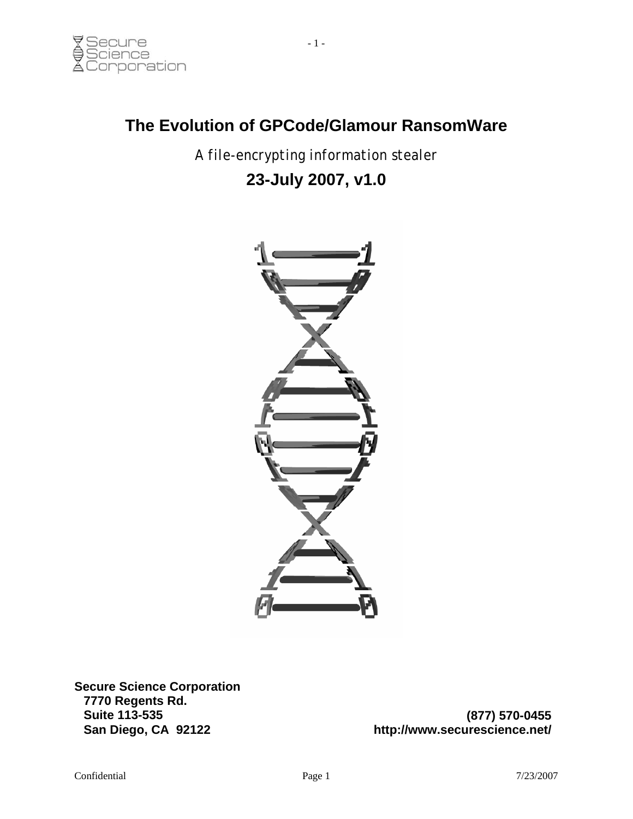#### **The Evolution of GPCode/Glamour RansomWare**

*A file-encrypting information stealer* 

## **23-July 2007, v1.0**



**Secure Science Corporation 7770 Regents Rd. Suite 113-535 San Diego, CA 92122**

**(877) 570-0455 http://www.securescience.net/**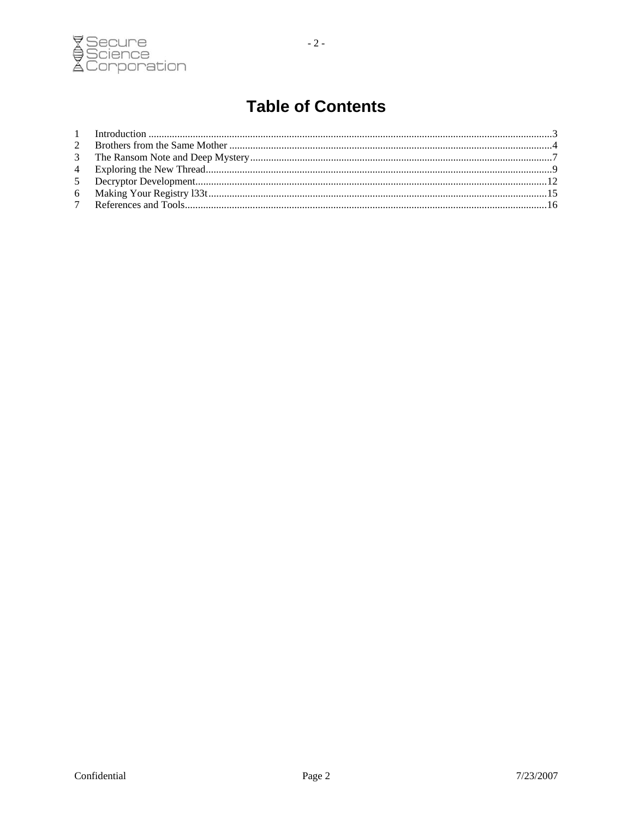

 $-2-$ 

# **Table of Contents**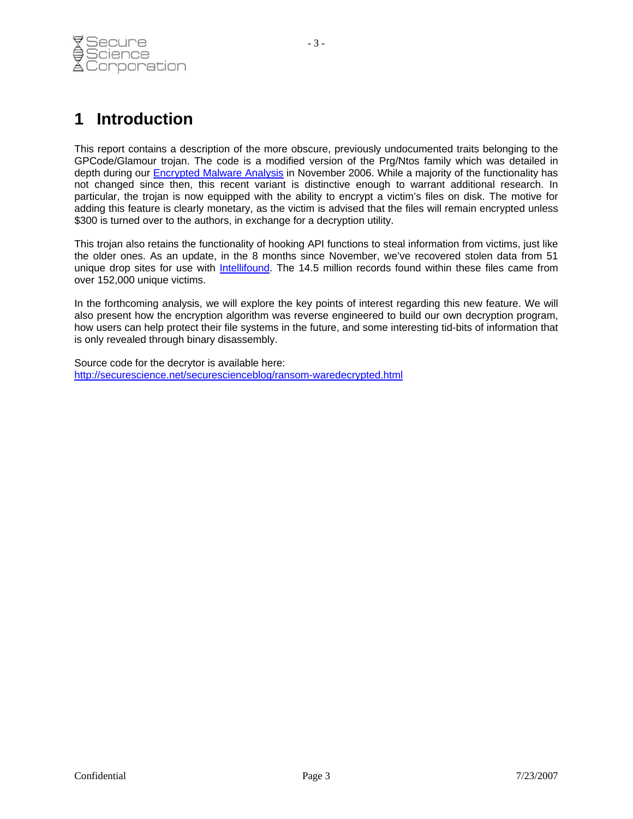<span id="page-2-0"></span>

This report contains a description of the more obscure, previously undocumented traits belonging to the GPCode/Glamour trojan. The code is a modified version of the Prg/Ntos family which was detailed in depth during our [Encrypted Malware Analysis](http://securescience.net/securescienceblog/malwarecasestudy.html) in November 2006. While a majority of the functionality has not changed since then, this recent variant is distinctive enough to warrant additional research. In particular, the trojan is now equipped with the ability to encrypt a victim's files on disk. The motive for adding this feature is clearly monetary, as the victim is advised that the files will remain encrypted unless \$300 is turned over to the authors, in exchange for a decryption utility.

This trojan also retains the functionality of hooking API functions to steal information from victims, just like the older ones. As an update, in the 8 months since November, we've recovered stolen data from 51 unique drop sites for use with [Intellifound.](http://www.securescience.net/home/solutions/global/intellifound.html) The 14.5 million records found within these files came from over 152,000 unique victims.

In the forthcoming analysis, we will explore the key points of interest regarding this new feature. We will also present how the encryption algorithm was reverse engineered to build our own decryption program, how users can help protect their file systems in the future, and some interesting tid-bits of information that is only revealed through binary disassembly.

Source code for the decrytor is available here: <http://securescience.net/securescienceblog/ransom-waredecrypted.html>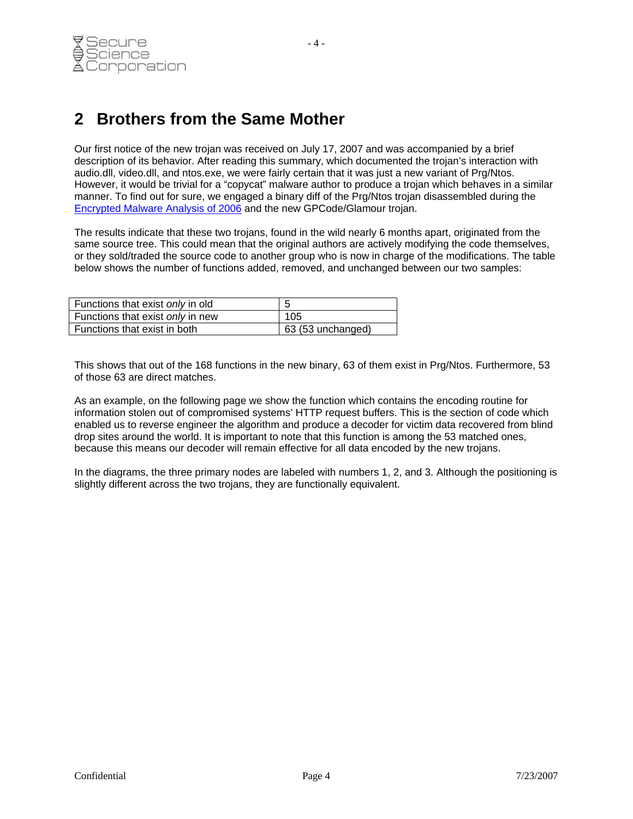#### <span id="page-3-0"></span>**2 Brothers from the Same Mother**

Our first notice of the new trojan was received on July 17, 2007 and was accompanied by a brief description of its behavior. After reading this summary, which documented the trojan's interaction with audio.dll, video.dll, and ntos.exe, we were fairly certain that it was just a new variant of Prg/Ntos. However, it would be trivial for a "copycat" malware author to produce a trojan which behaves in a similar manner. To find out for sure, we engaged a binary diff of the Prg/Ntos trojan disassembled during the [Encrypted Malware Analysis of 2006](http://securescience.net/securescienceblog/malwarecasestudy.html) and the new GPCode/Glamour trojan.

The results indicate that these two trojans, found in the wild nearly 6 months apart, originated from the same source tree. This could mean that the original authors are actively modifying the code themselves, or they sold/traded the source code to another group who is now in charge of the modifications. The table below shows the number of functions added, removed, and unchanged between our two samples:

| Functions that exist only in old |                   |
|----------------------------------|-------------------|
| Functions that exist only in new | 105               |
| Functions that exist in both     | 63 (53 unchanged) |

This shows that out of the 168 functions in the new binary, 63 of them exist in Prg/Ntos. Furthermore, 53 of those 63 are direct matches.

As an example, on the following page we show the function which contains the encoding routine for information stolen out of compromised systems' HTTP request buffers. This is the section of code which enabled us to reverse engineer the algorithm and produce a decoder for victim data recovered from blind drop sites around the world. It is important to note that this function is among the 53 matched ones, because this means our decoder will remain effective for all data encoded by the new trojans.

In the diagrams, the three primary nodes are labeled with numbers 1, 2, and 3. Although the positioning is slightly different across the two trojans, they are functionally equivalent.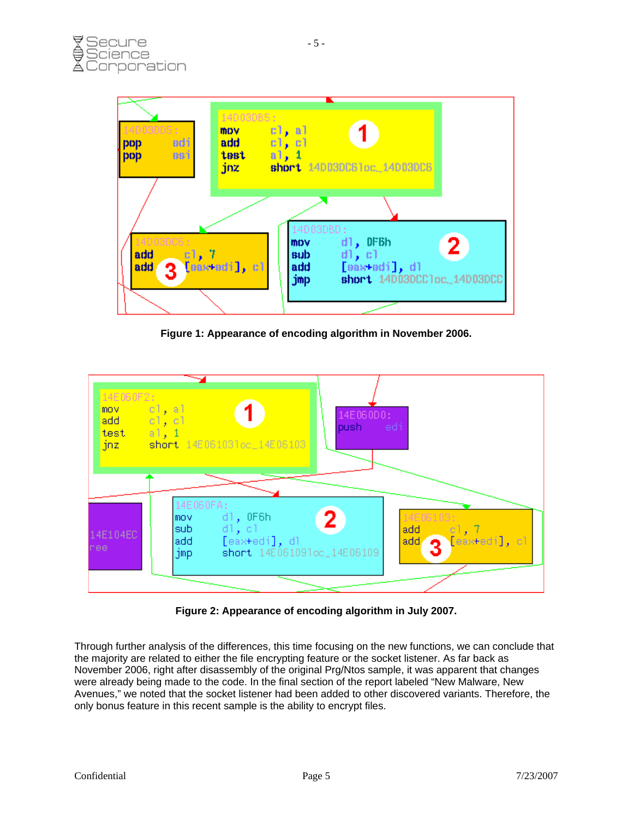

**Figure 1: Appearance of encoding algorithm in November 2006.** 



**Figure 2: Appearance of encoding algorithm in July 2007.** 

Through further analysis of the differences, this time focusing on the new functions, we can conclude that the majority are related to either the file encrypting feature or the socket listener. As far back as November 2006, right after disassembly of the original Prg/Ntos sample, it was apparent that changes were already being made to the code. In the final section of the report labeled "New Malware, New Avenues," we noted that the socket listener had been added to other discovered variants. Therefore, the only bonus feature in this recent sample is the ability to encrypt files.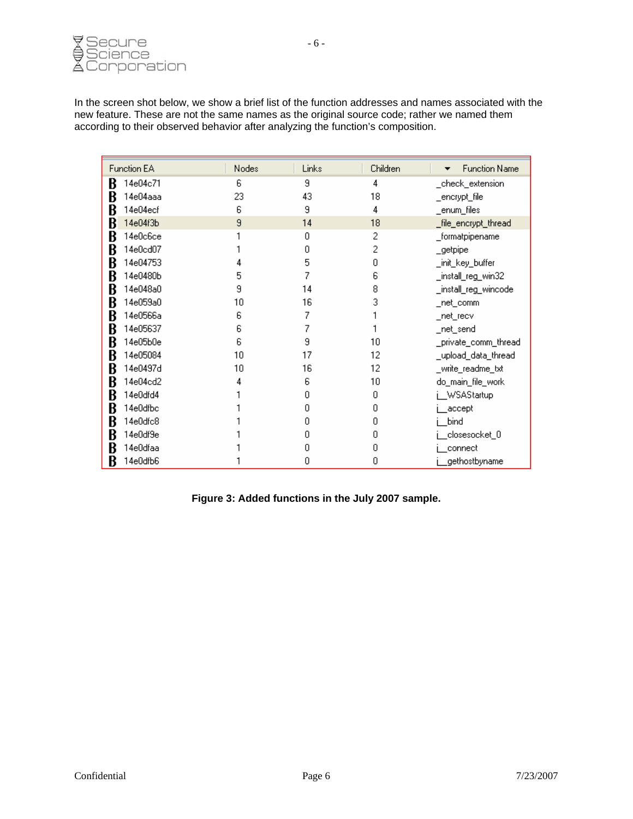

In the screen shot below, we show a brief list of the function addresses and names associated with the new feature. These are not the same names as the original source code; rather we named them according to their observed behavior after analyzing the function's composition.

| <b>Function EA</b> | Nodes | Links | Children | <b>Function Name</b><br>▼ |
|--------------------|-------|-------|----------|---------------------------|
| 14e04c71<br>B      | 6     | 9     | 4        | _check_extension          |
| 14e04aaa<br>B      | 23    | 43    | 18       | _encrypt_file             |
| 14e04ecf<br>B      | 6     | 9     | 4        | _enum_files               |
| 14e04f3b<br>B      | 9     | 14    | 18       | _file_encrypt_thread      |
| B<br>14e0c6ce      |       | 0     | 2        | _formatpipename           |
| 14e0cd07<br>B      |       | n     |          | _getpipe                  |
| 14e04753<br>B      |       | 5     | Ω        | _init_key_buffer          |
| 14e0480b<br>ĸ      | 5     |       | 6        | _install_reg_win32        |
| 14e048a0<br>ĸ      | 9     | 14    | 8        | _install_reg_wincode      |
| B<br>14e059a0      | 10    | 16    | З        | _net_comm                 |
| 14e0566a<br>B      | 6     |       |          | _net_recv                 |
| 14e05637<br>B      | 6     |       |          | _net_send                 |
| 14e05b0e<br>B      | 6     | 9     | 10       | _private_comm_thread      |
| 14e05084<br>B      | 10    | 17    | 12       | _upload_data_thread       |
| 14e0497d<br>B      | 10    | 16    | 12       | _write_readme_txt         |
| 14e04cd2<br>B      |       | 6     | 10       | do_main_file_work         |
| 14e0dfd4<br>B      |       | n     | ۵        | WSAStartup                |
| 14e0dfbc<br>B      |       | П     | Ο        | accept                    |
| 14e0dfc8<br>B      |       | n     |          | bind                      |
| 14e0df9e<br>B      |       | п     | О        | .closesocket_0            |
| 14e0dfaa<br>ĸ      |       |       |          | connect                   |
| 14e0dfb6<br>В      |       | 0     | 0        | gethostbyname             |

**Figure 3: Added functions in the July 2007 sample.**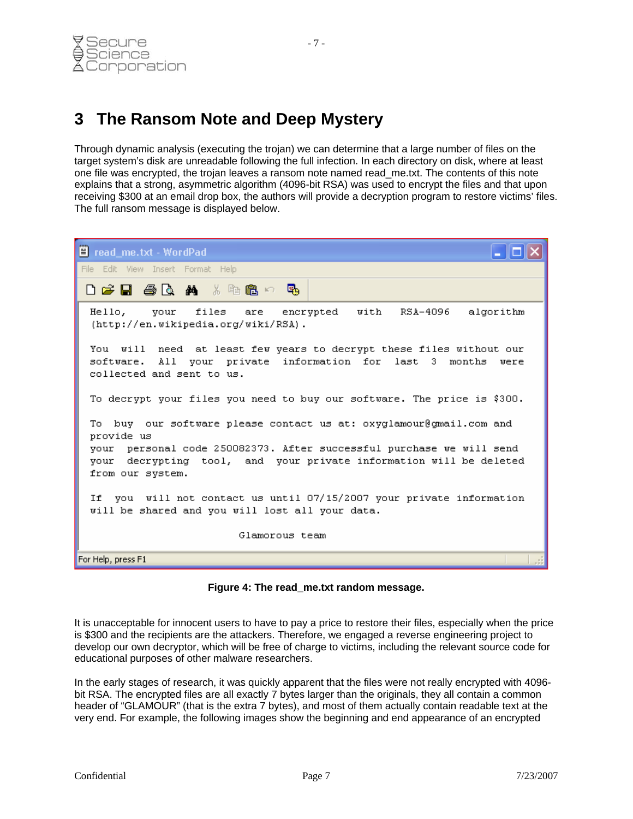#### <span id="page-6-0"></span>**3 The Ransom Note and Deep Mystery**

Through dynamic analysis (executing the trojan) we can determine that a large number of files on the target system's disk are unreadable following the full infection. In each directory on disk, where at least one file was encrypted, the trojan leaves a ransom note named read\_me.txt. The contents of this note explains that a strong, asymmetric algorithm (4096-bit RSA) was used to encrypt the files and that upon receiving \$300 at an email drop box, the authors will provide a decryption program to restore victims' files. The full ransom message is displayed below.



**Figure 4: The read\_me.txt random message.** 

It is unacceptable for innocent users to have to pay a price to restore their files, especially when the price is \$300 and the recipients are the attackers. Therefore, we engaged a reverse engineering project to develop our own decryptor, which will be free of charge to victims, including the relevant source code for educational purposes of other malware researchers.

In the early stages of research, it was quickly apparent that the files were not really encrypted with 4096 bit RSA. The encrypted files are all exactly 7 bytes larger than the originals, they all contain a common header of "GLAMOUR" (that is the extra 7 bytes), and most of them actually contain readable text at the very end. For example, the following images show the beginning and end appearance of an encrypted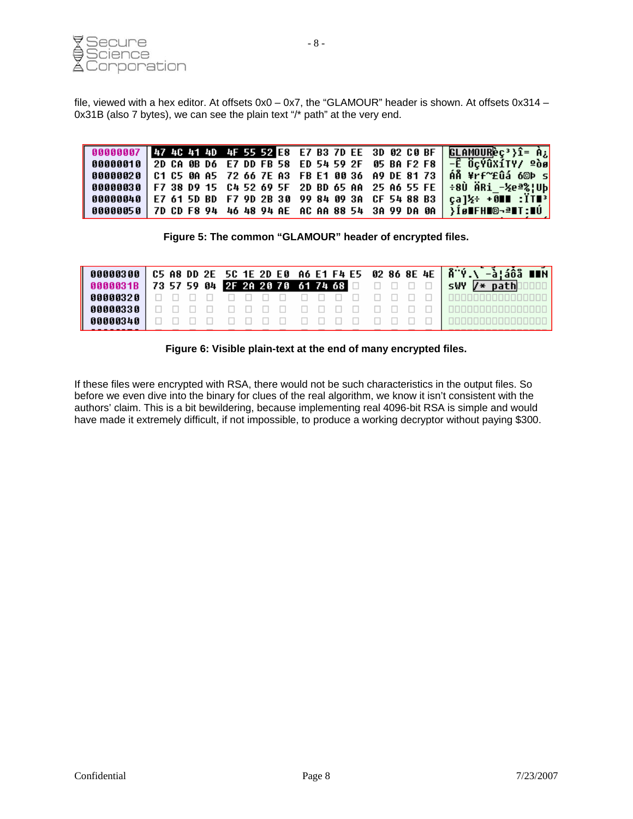

file, viewed with a hex editor. At offsets 0x0 – 0x7, the "GLAMOUR" header is shown. At offsets 0x314 – 0x31B (also 7 bytes), we can see the plain text "/\* path" at the very end.

|  | 00000007 47 40 41 40 4F 55 52 E8 E7 B3 7D EE 3D 02 C0 BF GLAMOUREC <sup>3</sup> }1= A <sub>2</sub>                      |  |
|--|-------------------------------------------------------------------------------------------------------------------------|--|
|  | 00000010 2D CA 0B D6 E7 DD FB 58 ED 54 59 2F 05 BA F2 F8 - 0 0 0 0 1 Y/ 200                                             |  |
|  | 00000020 C1 C5 0A A5 72 66 7E A3 FB E1 00 36 A9 DE 81 73 AÅ ¥rf~£ûá 6©Þ s                                               |  |
|  | 00000030 F7 38 D9 15 C4 52 69 5F 2D BD 65 AA 25 A6 55 FE ÷8Ù ÄRi −½eª%!Ub                                               |  |
|  | 00000040 E7 61 5D BD F7 9D 2B 30 99 84 09 3A CF 54 88 B3 $\frac{1}{2}$ + $\frac{3}{2}$ + $\frac{3}{2}$ = $\frac{17}{2}$ |  |
|  | 00000050 7D CD F8 94 46 48 94 AE AC AA 88 54 3A 99 DA 0A   }Íø∎FH∎©¬ª∎T:∎Ú                                              |  |

**Figure 5: The common "GLAMOUR" header of encrypted files.** 

|  |  |  |  |  |  |  |  | 00000300 C5 A8 DD 2E 5C 1E 2D E0 A6 E1 F4 E5 02 86 8E 4E 8 º V.\-à!áÔã ∎∎N |
|--|--|--|--|--|--|--|--|----------------------------------------------------------------------------|
|  |  |  |  |  |  |  |  | 0000031B 73 57 59 04 2F 2A 20 70 61 74 68 0 0 0 0 5WY 7* path 00           |
|  |  |  |  |  |  |  |  |                                                                            |
|  |  |  |  |  |  |  |  |                                                                            |
|  |  |  |  |  |  |  |  |                                                                            |

**Figure 6: Visible plain-text at the end of many encrypted files.** 

If these files were encrypted with RSA, there would not be such characteristics in the output files. So before we even dive into the binary for clues of the real algorithm, we know it isn't consistent with the authors' claim. This is a bit bewildering, because implementing real 4096-bit RSA is simple and would have made it extremely difficult, if not impossible, to produce a working decryptor without paying \$300.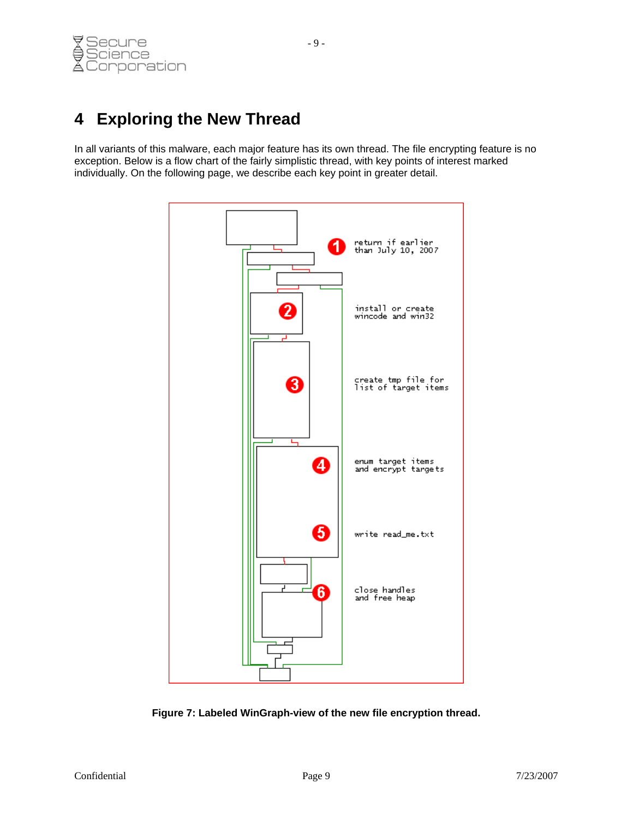## <span id="page-8-0"></span>**4 Exploring the New Thread**

In all variants of this malware, each major feature has its own thread. The file encrypting feature is no exception. Below is a flow chart of the fairly simplistic thread, with key points of interest marked individually. On the following page, we describe each key point in greater detail.



**Figure 7: Labeled WinGraph-view of the new file encryption thread.**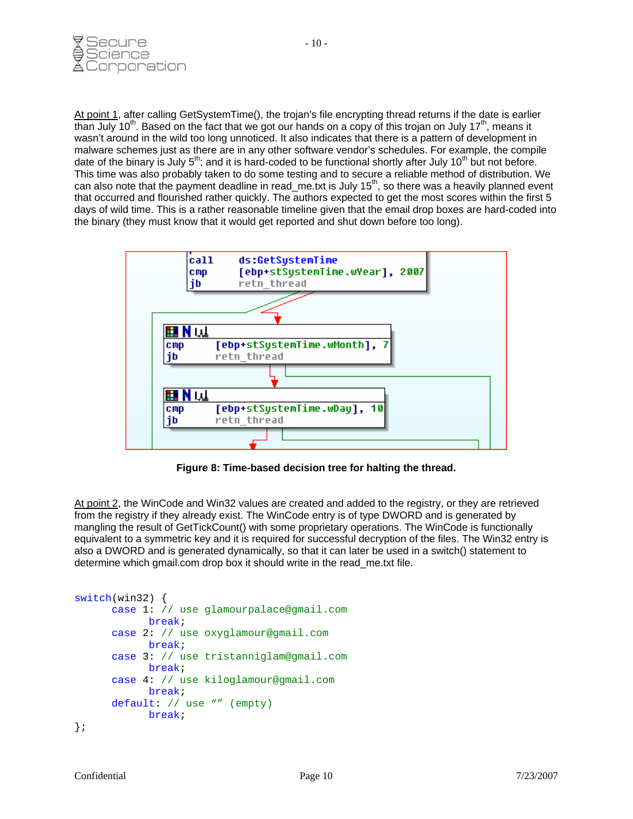

At point 1, after calling GetSystemTime(), the trojan's file encrypting thread returns if the date is earlier than July 10<sup>th</sup>. Based on the fact that we got our hands on a copy of this trojan on July 17<sup>th</sup>, means it wasn't around in the wild too long unnoticed. It also indicates that there is a pattern of development in malware schemes just as there are in any other software vendor's schedules. For example, the compile date of the binary is July  $5<sup>th</sup>$ ; and it is hard-coded to be functional shortly after July 10<sup>th</sup> but not before. This time was also probably taken to do some testing and to secure a reliable method of distribution. We can also note that the payment deadline in read\_me.txt is July 15<sup>th</sup>, so there was a heavily planned event that occurred and flourished rather quickly. The authors expected to get the most scores within the first 5 days of wild time. This is a rather reasonable timeline given that the email drop boxes are hard-coded into the binary (they must know that it would get reported and shut down before too long).



**Figure 8: Time-based decision tree for halting the thread.** 

At point 2, the WinCode and Win32 values are created and added to the registry, or they are retrieved from the registry if they already exist. The WinCode entry is of type DWORD and is generated by mangling the result of GetTickCount() with some proprietary operations. The WinCode is functionally equivalent to a symmetric key and it is required for successful decryption of the files. The Win32 entry is also a DWORD and is generated dynamically, so that it can later be used in a switch() statement to determine which gmail.com drop box it should write in the read\_me.txt file.

```
switch(win32) { 
      case 1: // use glamourpalace@gmail.com
             break; 
      case 2: // use oxyglamour@gmail.com
             break; 
      case 3: // use tristanniglam@gmail.com
             break; 
      case 4: // use kiloglamour@gmail.com
             break; 
      default: // use "" (empty)
             break; 
};
```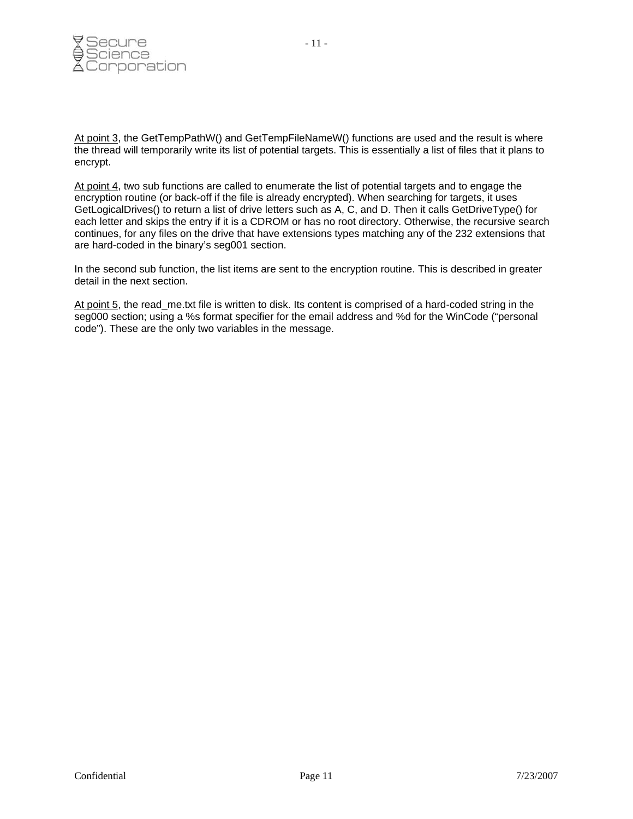

At point 3, the GetTempPathW() and GetTempFileNameW() functions are used and the result is where the thread will temporarily write its list of potential targets. This is essentially a list of files that it plans to encrypt.

At point 4, two sub functions are called to enumerate the list of potential targets and to engage the encryption routine (or back-off if the file is already encrypted). When searching for targets, it uses GetLogicalDrives() to return a list of drive letters such as A, C, and D. Then it calls GetDriveType() for each letter and skips the entry if it is a CDROM or has no root directory. Otherwise, the recursive search continues, for any files on the drive that have extensions types matching any of the 232 extensions that are hard-coded in the binary's seg001 section.

In the second sub function, the list items are sent to the encryption routine. This is described in greater detail in the next section.

At point 5, the read\_me.txt file is written to disk. Its content is comprised of a hard-coded string in the seg000 section; using a %s format specifier for the email address and %d for the WinCode ("personal code"). These are the only two variables in the message.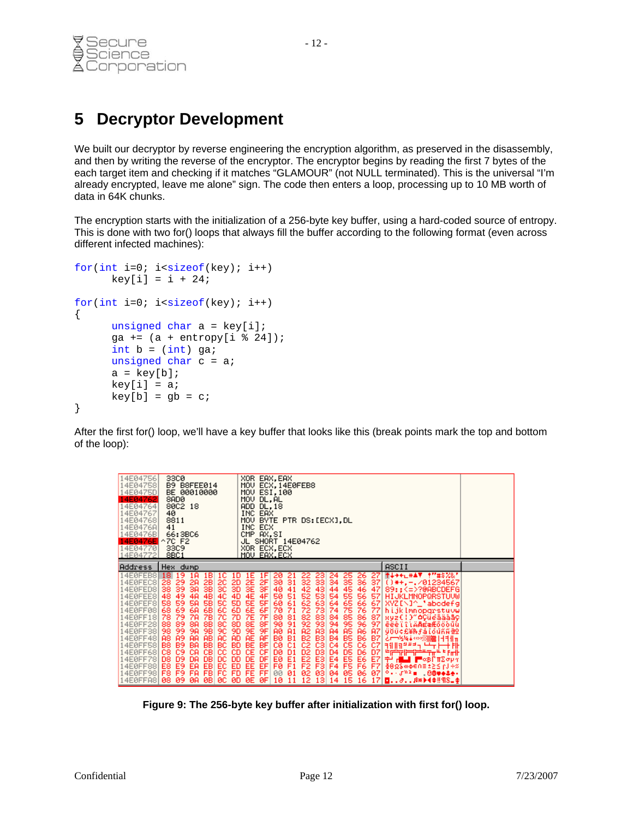<span id="page-11-0"></span>

#### **5 Decryptor Development**

We built our decryptor by reverse engineering the encryption algorithm, as preserved in the disassembly, and then by writing the reverse of the encryptor. The encryptor begins by reading the first 7 bytes of the each target item and checking if it matches "GLAMOUR" (not NULL terminated). This is the universal "I'm already encrypted, leave me alone" sign. The code then enters a loop, processing up to 10 MB worth of data in 64K chunks.

The encryption starts with the initialization of a 256-byte key buffer, using a hard-coded source of entropy. This is done with two for() loops that always fill the buffer according to the following format (even across different infected machines):

```
for(int i=0; i<sizeof(key); i++)
     key[i] = i + 24;for(int i=0; i<sizeof(key); i++)
{ 
      unsigned char a = key[i];
      qa += (a + entropy[i % 24]);
      int b = (int) ga;
      unsigned char c = aia = key[b];key[i] = aikey[b] = qb = ci}
```
After the first for() loop, we'll have a key buffer that looks like this (break points mark the top and bottom of the loop):

| 14E04756<br>33C0<br>XOR EAX,EAX<br>MOV ECX, 14E0FEB8<br>14E04758<br>B9 B8FEE014<br>BE 00010000<br>MOV ESI,100<br>14E0475D<br>MOV DL,AL<br>14E04762<br>8ADØ<br>14E04764<br>ADD DL.18<br>80C2 18<br>INC EAX<br>14E04767<br>40<br>MOV BYTE PTR DS:[ECX],DL<br>8811<br>14E04768<br>41<br>INC ECX<br>14E0476A<br>CMP AX,SI<br>14E0476B<br>66:3BC6<br>JL SHORT 14E04762<br>14E0476E ^<br>70 F2<br>XOR ECX.ECX<br>14E04770<br>33C9<br>14E04772<br>8BC1<br>MOV EAX.ECX |                                                                                                                                                                                                                                                                                                                                                                                                                                                                                                                                                             |                                                                                                                                                                                                                                                                                                                                                                                                                                                                                                                                                                                                                                                                                                                     |                                                                                                                                                                                                                                                                                                                                                                                                                                                                           |  |  |  |  |
|----------------------------------------------------------------------------------------------------------------------------------------------------------------------------------------------------------------------------------------------------------------------------------------------------------------------------------------------------------------------------------------------------------------------------------------------------------------|-------------------------------------------------------------------------------------------------------------------------------------------------------------------------------------------------------------------------------------------------------------------------------------------------------------------------------------------------------------------------------------------------------------------------------------------------------------------------------------------------------------------------------------------------------------|---------------------------------------------------------------------------------------------------------------------------------------------------------------------------------------------------------------------------------------------------------------------------------------------------------------------------------------------------------------------------------------------------------------------------------------------------------------------------------------------------------------------------------------------------------------------------------------------------------------------------------------------------------------------------------------------------------------------|---------------------------------------------------------------------------------------------------------------------------------------------------------------------------------------------------------------------------------------------------------------------------------------------------------------------------------------------------------------------------------------------------------------------------------------------------------------------------|--|--|--|--|
| Address                                                                                                                                                                                                                                                                                                                                                                                                                                                        | Hex dump                                                                                                                                                                                                                                                                                                                                                                                                                                                                                                                                                    |                                                                                                                                                                                                                                                                                                                                                                                                                                                                                                                                                                                                                                                                                                                     | ASCII                                                                                                                                                                                                                                                                                                                                                                                                                                                                     |  |  |  |  |
| 14E0FEB8<br>14EØFEC8<br>4EØFED8<br>14EØFEE8<br>4EØFEF8<br>14E0FF08<br>14E0FF18<br>14E0FF28<br>14E0FF38<br>4E0FF48<br>14E0FF58<br>.4E0FF681<br>14E0FF78<br>4E0FF88<br>14E0FF98<br>14E0FFA8 08 09                                                                                                                                                                                                                                                                | 19<br>181<br>18<br>10<br>18<br>$\frac{20}{30}$<br>28 29<br>2B<br>2A<br>38<br>-39<br>3A<br>38<br>49<br>$^{48}_{58}$<br>4C<br>48<br>4A<br>50<br>59<br>SA.<br>58<br>$^{6B}_{7B}$<br>-69<br>$^{60}_{70}$<br>68.<br>6A.<br>79<br>78<br>7A<br>-89<br>88 88<br>98 98<br>88<br>8C<br>90<br>99<br>98.<br><b>AB</b><br><b>A9</b><br>AC.<br>88<br>AA.<br><b>B9</b><br>BB<br>BC.<br><b>B8</b><br>BA.<br>CB.<br>C9<br>cc<br>C8<br>CA.<br><b>HORS</b><br>D8<br>D9<br>DC<br>DA.<br>EC<br>E9<br>E8<br>EA.<br>FC.<br>F <sub>9</sub><br>FA.<br>F8.<br><b>ØB</b><br>ØC.<br>ØA. | 25 26<br>-24<br>27<br>22.<br>23<br>1E<br>1F<br>10<br>32 33 34 35 36<br>42 43 44 45 46<br>2D 2E 2F<br>3D 3E 3F<br>-371<br>41<br>40<br>471<br>쬹<br>* 2020<br>2020 2020 2020 2020 2020<br>2020 2020 2020 2020 2020<br>2020 2020 2020 2020 2020<br>2020 2020 2020 2020<br>2020 2020 2020<br>4D<br>4F<br><b>571</b><br>SD.<br>5F<br>-671<br>麗朗<br>6D<br>-771<br>7D.<br>871<br>$\frac{1}{20}$ $\frac{1}{25}$<br>SF<br>9F<br>-971<br>.A71<br>AE.<br>AD.<br><b>AF</b><br>82<br>82 83 84 85 85<br>82 83 84 85 86<br>82 83 84 85 86<br>82 84 85 86<br>-87 I<br>BE<br>CE<br>BF<br>BD.<br>-C71<br>CD.<br>CF.<br>D71<br>語<br>中<br>DD.<br>E7<br>ED.<br>F7<br>FD.<br>00<br>-01<br>-071<br>0E 0F 10<br>12 13 14<br>15<br>0D.<br>-11 | 带来玉玉在开幕里,李熙并令又怨人<br>$(1 + 1 - 701234567$<br>89:: <=>?@ABCDEFG<br><b>HIJKLMNOPQRSTUVM</b><br>XYZINJ^_'abodefg<br>hijklmnopgrstuvw<br>Ryz(!)"AÇüeâääâç<br>ēëēïîlÄ <b>A</b> EæÆōöòūū<br><b>ÿŏü¢£¥Rfálóúññ@</b> 2<br><b>乙戸中松崎ま≪×※※譲[日目廿m</b><br>$\overline{11}$ ll $\overline{1}$ <sup>222</sup><br><del>الخير جار البري</del> اج<br><sup>E</sup> Firth<br><b>÷ HLI F</b> ≪BΓπΣσμα<br>ა÷სე≥≤ა⊕ნი∋\$≳ვტ\$<br>$9 - 5020 - 8800 + 40$<br>- 16 - 17  <b>M<i>a</i>0</b> ****!¶S_\$ |  |  |  |  |

**Figure 9: The 256-byte key buffer after initialization with first for() loop.**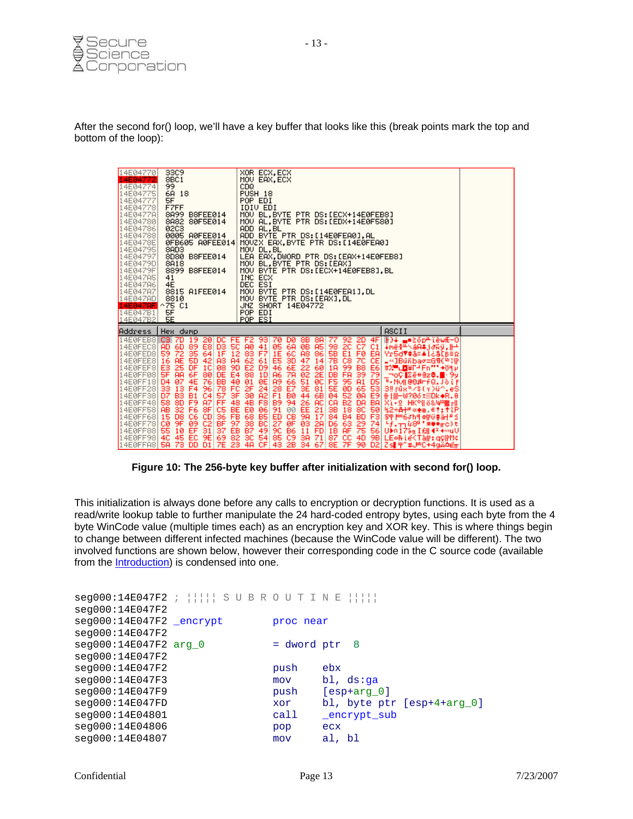

After the second for() loop, we'll have a key buffer that looks like this (break points mark the top and bottom of the loop):

| 14E04770<br>14E04772<br>14E04774<br>14E04775<br>14E04777<br>14E04778<br>14E0477A<br>14E04780<br>14E04786<br>14E04788<br>14E0478E<br>14E04795<br>14E04797<br>14E0479D<br>14E0479F<br>14E047A5<br>14E047A6<br>14E047A7<br>14E047AD | 33C9<br>8BC1<br>99<br>6A 18<br>5F<br>F7FF<br>8A99 B8FEE014<br>8A82 80F5E014<br><b>02C3</b><br>0005 A0FEE014<br>0FB605 A0FEE014<br>8AD3<br>8D80 B8FEE014<br>8A18<br>8899 B8FEE014<br>41<br>4E<br>8815 A1FEE014<br>8810                                                           | XOR ECX, ECX<br>MOV EAX, ECX<br>CDQ<br>PUSH 18<br>POP EDI<br>IDIV EDI<br>MOV BL.BYTE PTR DS:[ECX+14E0FEB8]<br>MOV AL.BYTE PTR DS:[EDX+14E0F580]<br>ADD AL, BL<br>ADD BYTE PTR DS:[14E0FEA0],AL<br>MOVZX EAX, BYTE PTR DS:[14E0FEA0]<br>MOV DL, BL<br>LEA EAX,DWORD PTR DS:[EAX+14E0FEB8]<br>MOV BL.BYTE PTR DS:[EAX]<br>MOU BYTE PTR DS: LECX+14E0FEB81, BL<br>INC ECX<br>DEC ESI<br>MOV BYTE PTR DS:[14E0FEA1],DL<br>MOV BYTE PTR DS: [EAX], DL               |                                                                                                                                                                                                                                                                                                                                                                                    |
|----------------------------------------------------------------------------------------------------------------------------------------------------------------------------------------------------------------------------------|---------------------------------------------------------------------------------------------------------------------------------------------------------------------------------------------------------------------------------------------------------------------------------|----------------------------------------------------------------------------------------------------------------------------------------------------------------------------------------------------------------------------------------------------------------------------------------------------------------------------------------------------------------------------------------------------------------------------------------------------------------|------------------------------------------------------------------------------------------------------------------------------------------------------------------------------------------------------------------------------------------------------------------------------------------------------------------------------------------------------------------------------------|
| 14E047AF<br>14E047B1<br>14E047B2                                                                                                                                                                                                 | $^{\sim}75$ C1<br>5F<br>5E                                                                                                                                                                                                                                                      | JNZ SHORT 14E04772<br>POP EDI<br>POP ESI                                                                                                                                                                                                                                                                                                                                                                                                                       |                                                                                                                                                                                                                                                                                                                                                                                    |
| Address                                                                                                                                                                                                                          | Hex dump                                                                                                                                                                                                                                                                        |                                                                                                                                                                                                                                                                                                                                                                                                                                                                | ASCII                                                                                                                                                                                                                                                                                                                                                                              |
| 14E0FED8<br>14EØFEE8<br>14EØFEF8<br>14E0FF08<br>14E0FF18 D4<br>14E0FF28 33<br>14E0FF38 D7<br>14E0FF48 58<br>14E0FF58 AB<br>14E0FF68<br>14E0FF78<br>14E0FF88 55<br>14E0FF98 4C                                                    | 14E0FEB8 C3 7D 19 20<br>14E0FEC8 AD 6D 89 E8<br>DC.<br>D3<br>72<br>35 64<br>59<br>1F<br>A3<br><b>AE</b><br>16<br>E3<br>25<br>88<br><b>EBS</b><br>5F<br><b>AR</b><br>-07<br>$\frac{13}{83}$<br><b>A7</b><br>FF<br>8D<br>F9<br>32<br>1688881<br>15<br>D8<br>CØ.<br>9F<br>10<br>45 | FE F2<br>93<br>DØ.<br>$\frac{8}{9B}$<br>8A<br>70<br><b>SC 80</b><br>41<br>A <sub>5</sub><br>05<br>6A<br>548955489554<br>5489568888888<br>F7 1E 6C<br><b>A8</b><br>86<br>3D<br>6E<br>7A<br>61<br>E5<br>47<br>14<br>46<br>22001844<br>D9<br><b>A6</b><br>1D<br>0E<br>24 28 E7<br>26 E1 B8<br>53 B9<br>53 94<br>26<br><b>AC</b><br>06<br><b>PERSON</b><br>ins981.9<br>$^{21}_{17}$<br>00<br>CB<br><b>B5</b><br>햶<br>ข้<br>$\frac{BC}{49}$<br>ØF<br>B6<br>C9<br>54 | ⊩D+ m=20ptïèwÆ-0 <br>∔mëš <sup>II</sup> \áA‡j∂Ñÿ,⊩<br>Vr5dV‡ä‰≜l&å[B≣Ω<br>_«]Bŭñbaσ=G¶(≞¦†<br>ⅡX를□■夫La EU…→94 h<br>_⊓oÇ∭∑ê#êz <b>8.∭</b> ⊹9y<br>E-NUMBOA-FQ.JOIF<br>3‼rū́a¤⁄\$(m>ü^.e\$<br>X1+9 HK 에 6& <del>약 滋</del> 리<br>%2÷A+= <** <*: ***<br>3章   H6JhF  4花0拳路  #16<br>$+f_{\star} + 0.84$ '***ro)t<br>$U$ bn 178 $\pi$ I £   43 + $\approx$ u $U$<br>9B LE®N LeKTair: golfMc |

**Figure 10: The 256-byte key buffer after initialization with second for() loop.** 

This initialization is always done before any calls to encryption or decryption functions. It is used as a read/write lookup table to further manipulate the 24 hard-coded entropy bytes, using each byte from the 4 byte WinCode value (multiple times each) as an encryption key and XOR key. This is where things begin to change between different infected machines (because the WinCode value will be different). The two involved functions are shown below, however their corresponding code in the C source code (available from the [Introduction\)](#page-2-0) is condensed into one.

```
seg000:14E047F2 ; ¦¦¦¦¦ S U B R O U T I N E ¦¦¦¦¦ 
seg000:14E047F2 
seg000:14E047F2 _encrypt proc near
seg000:14E047F2 
seq000:14E047F2 \text{ arg } 0 = dword ptr 8
seg000:14E047F2 
seg000:14E047F2 push ebx
seg000:14E047F3 mov bl, ds:ga<br>seg000:14E047F9 push [esp+arg_0]
seg000:14E047F9 push
seg000:14E047FD xor bl, byte ptr [esp+4+arg_0]<br>seg000:14E04801 call _encrypt_sub
seg000:14E04801 call
seg000:14E04806 pop ecx
seg000:14E04807 mov al, bl
```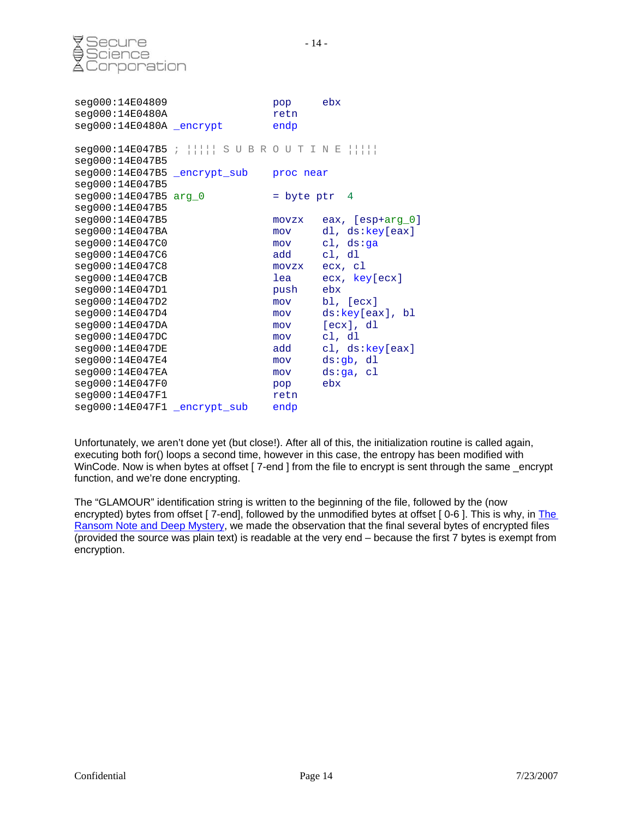

| seg000:14E04809<br>seg000:14E0480A<br>seg000:14E0480A _encrypt |                                                           | pop<br>retn<br>endp | ebx              |
|----------------------------------------------------------------|-----------------------------------------------------------|---------------------|------------------|
|                                                                | $seg000:14E047B5$ ; $      $ S U B R O U T I N E $      $ |                     |                  |
| seg000:14E047B5                                                |                                                           |                     |                  |
| seg000:14E047B5 _encrypt_sub                                   |                                                           | proc near           |                  |
| seg000:14E047B5                                                |                                                           |                     |                  |
| seg000:14E047B5 arg_0                                          |                                                           | $=$ byte ptr 4      |                  |
| seg000:14E047B5                                                |                                                           |                     |                  |
| seg000:14E047B5                                                |                                                           | movzx               | eax, [esp+arg_0] |
| seg000:14E047BA                                                |                                                           | mov                 | dl, ds:key[eax]  |
| seg000:14E047C0                                                |                                                           | mov                 | cl, $ds:ga$      |
| seg000:14E047C6                                                |                                                           | add                 | cl, dl           |
| seg000:14E047C8                                                |                                                           | movzx               | ecx, cl          |
| seg000:14E047CB                                                |                                                           | lea                 | ecx, key[ecx]    |
| seg000:14E047D1                                                |                                                           | push                | ebx              |
| seg000:14E047D2                                                |                                                           | mov                 | $bl$ , $[ecx]$   |
| seg000:14E047D4                                                |                                                           | mov                 | ds:key[eax], bl  |
| seg000:14E047DA                                                |                                                           | mov                 | [ex], d1         |
| seq000:14E047DC                                                |                                                           | mov                 | cl, dl           |
| seg000:14E047DE                                                |                                                           | add                 | cl, ds:key[eax]  |
| seg000:14E047E4                                                |                                                           | mov                 | ds:qb, dl        |
| seg000:14E047EA                                                |                                                           | mov                 | ds:qa, cl        |
| seg000:14E047F0                                                |                                                           | pop                 | ebx              |
| seg000:14E047F1                                                |                                                           | retn                |                  |
| seg000:14E047F1 _encrypt_sub                                   |                                                           | endp                |                  |

Unfortunately, we aren't done yet (but close!). After all of this, the initialization routine is called again, executing both for() loops a second time, however in this case, the entropy has been modified with WinCode. Now is when bytes at offset [ 7-end ] from the file to encrypt is sent through the same \_encrypt function, and we're done encrypting.

The "GLAMOUR" identification string is written to the beginning of the file, followed by the (now encrypted) bytes from offset [7-end], followed by the unmodified bytes at offset [0-6]. This is why, in The [Ransom Note and Deep Mystery](#page-6-0), we made the observation that the final several bytes of encrypted files (provided the source was plain text) is readable at the very end – because the first 7 bytes is exempt from encryption.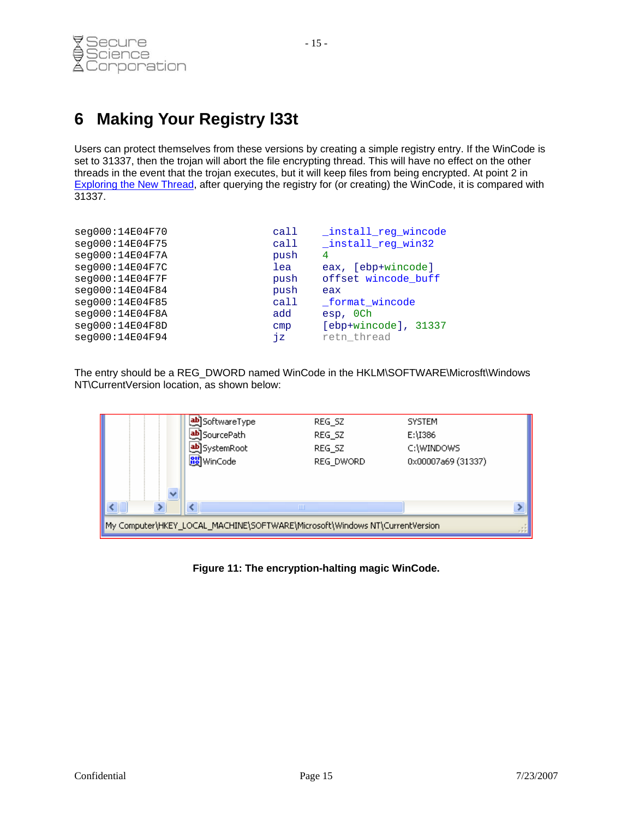## <span id="page-14-0"></span>**6 Making Your Registry l33t**

Users can protect themselves from these versions by creating a simple registry entry. If the WinCode is set to 31337, then the trojan will abort the file encrypting thread. This will have no effect on the other threads in the event that the trojan executes, but it will keep files from being encrypted. At point 2 in [Exploring the New Thread,](#page-8-0) after querying the registry for (or creating) the WinCode, it is compared with 31337.

| seg000:14E04F70 | call | _install_reg_wincode |
|-----------------|------|----------------------|
| seg000:14E04F75 | call | _install_reg_win32   |
| seg000:14E04F7A | push | 4                    |
| seg000:14E04F7C | lea  | eax, [ebp+wincode]   |
| seg000:14E04F7F | push | offset wincode buff  |
| seg000:14E04F84 | push | eax                  |
| seg000:14E04F85 | call | _format_wincode      |
| seg000:14E04F8A | add  | esp, OCh             |
| seg000:14E04F8D | cmp  | [ebp+wincode], 31337 |
| seg000:14E04F94 | ήz   | retn thread          |

The entry should be a REG\_DWORD named WinCode in the HKLM\SOFTWARE\Microsft\Windows NT\CurrentVersion location, as shown below:

|                                                                             | ab]SoftwareType            | REG SZ    | <b>SYSTEM</b>      |  |  |  |  |  |
|-----------------------------------------------------------------------------|----------------------------|-----------|--------------------|--|--|--|--|--|
|                                                                             | <mark>ቅ</mark> ]SourcePath | REG_SZ    | E:\I386            |  |  |  |  |  |
|                                                                             | be]SystemRoot              | REG SZ    | C:\WINDOWS         |  |  |  |  |  |
|                                                                             | <b>RU</b> WinCode          | REG DWORD | 0x00007a69 (31337) |  |  |  |  |  |
|                                                                             |                            |           |                    |  |  |  |  |  |
|                                                                             | Ш                          |           |                    |  |  |  |  |  |
| My Computer\HKEY_LOCAL_MACHINE\SOFTWARE\Microsoft\Windows NT\CurrentVersion |                            |           |                    |  |  |  |  |  |

**Figure 11: The encryption-halting magic WinCode.**